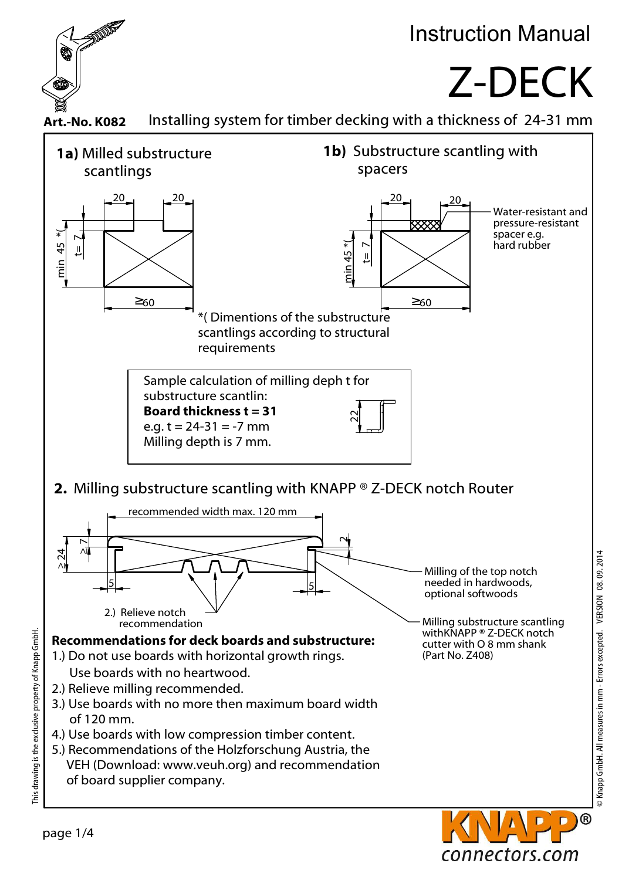

## Instruction Manual

## Z-DECK





connectors.com

This drawing is the exclusive property of Knapp GmbH.

This drawing is the exclusive property of Knapp GmbH.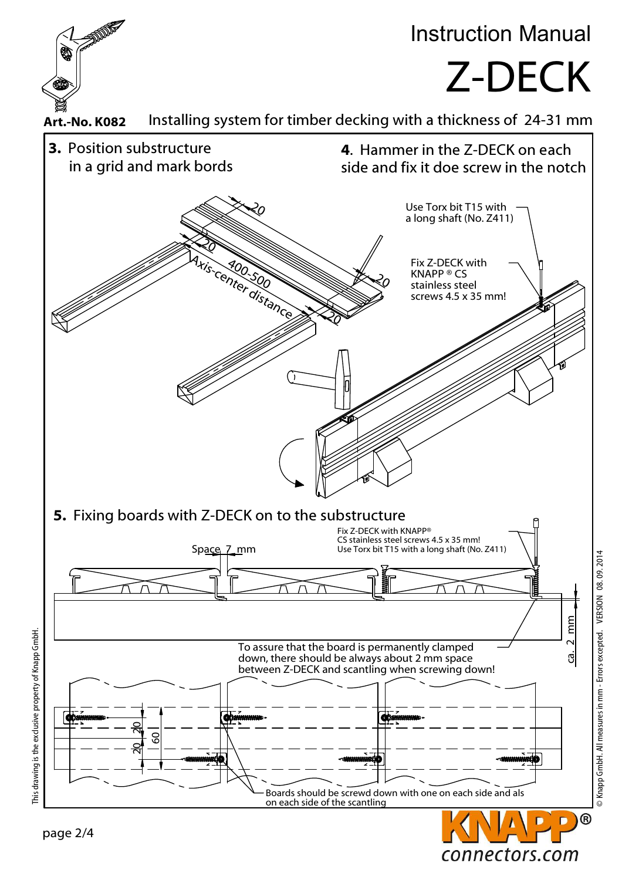

© Knapp GmbH. All measures in mm - Errors excepted. VERSION 08. 09. 2014

connectors.com

This drawing is the exclusive property of Knapp GmbH. This drawing is the exclusive property of Knapp GmbH.

page 2/4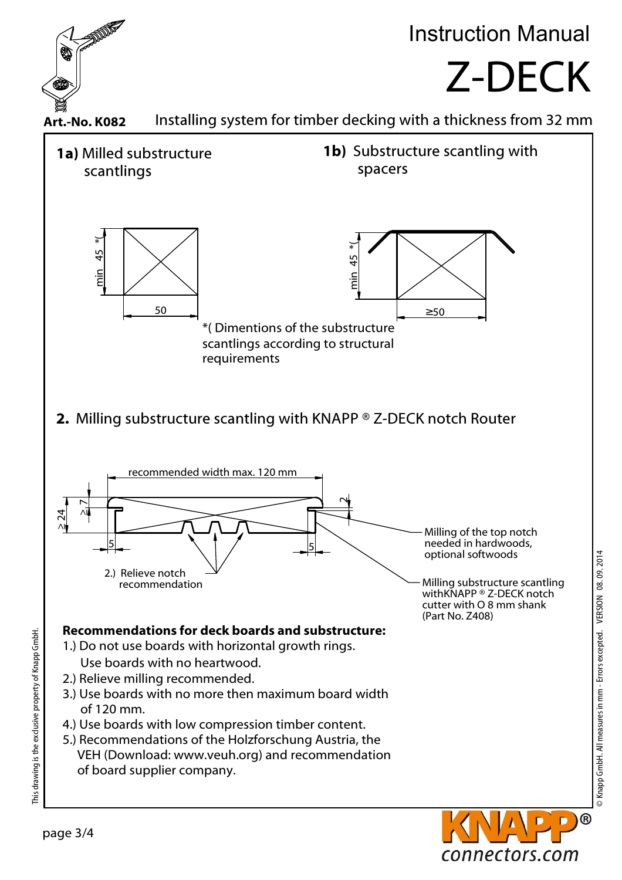

connectors.com

page 3/4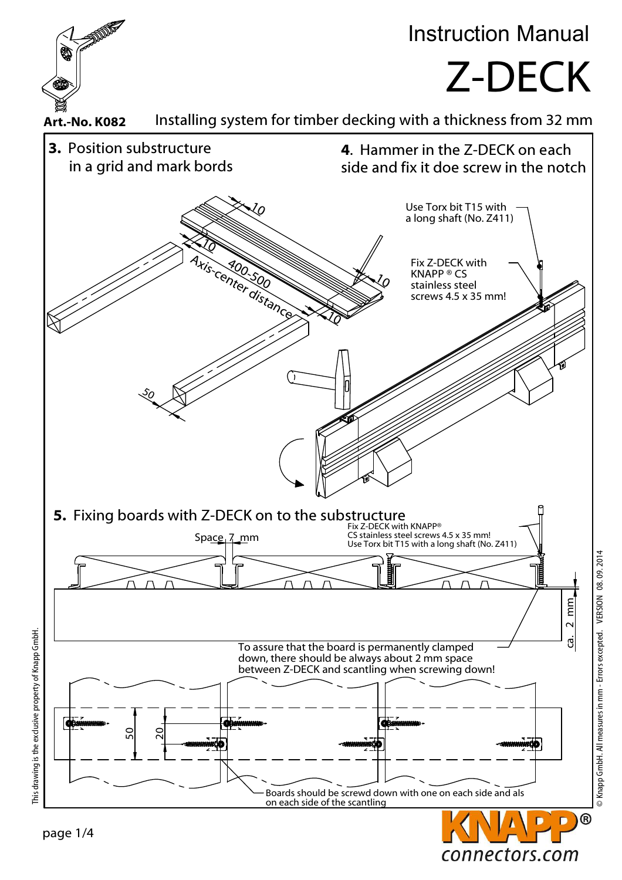

connectors.com

This drawing is the exclusive property of Knapp GmbH. This drawing is the exclusive property of Knapp GmbH.

page 1/4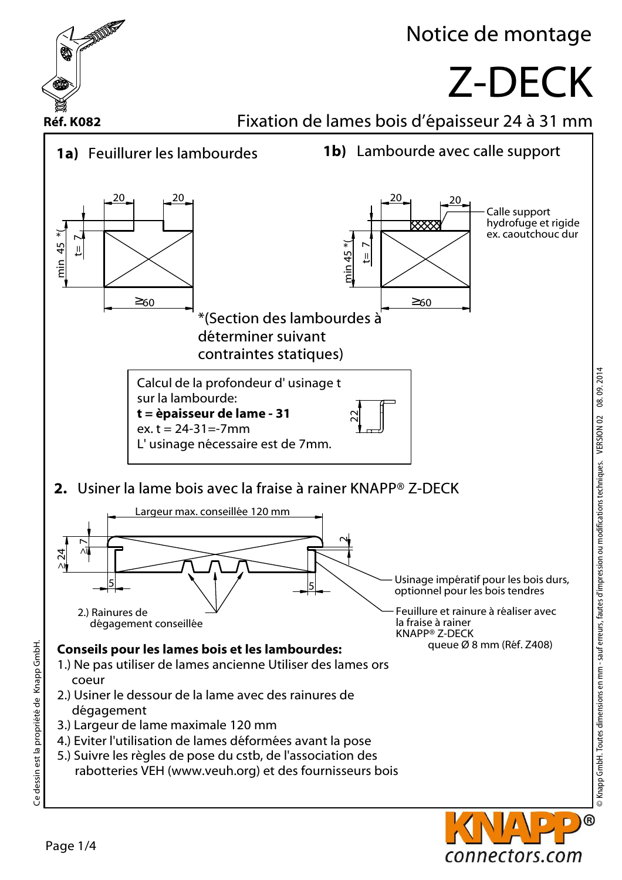

> Knapp GmbH. Toutes dimensions en mm - sauf erreurs, fautes d'impression ou modifications techniques. VERSION 02 08.09.2014 © Knapp GmbH. Toutes dimensions en mm - sauf erreurs, fautes d'impression ou modifications techniques. VERSION 02 08. 09. 2014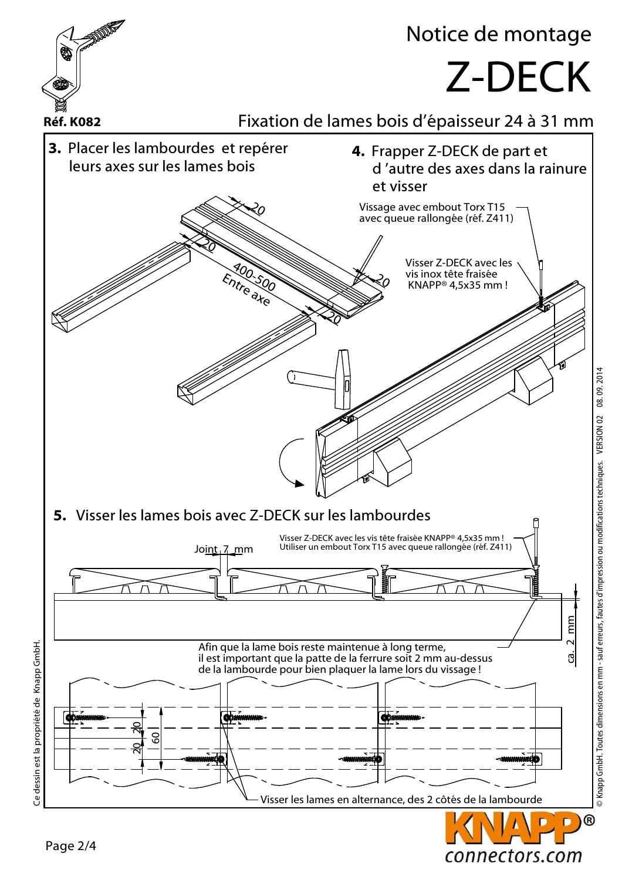

© Knapp GmbH. Toutes dimensions en mm - sauf erreurs, fautes d'impression ou modifications techniques. VERSION 02 08.09.2014 © Knapp GmbH. Toutes dimensions en mm - sauf erreurs, fautes d'impression ou modifications techniques. VERSION 02 08. 09. 2014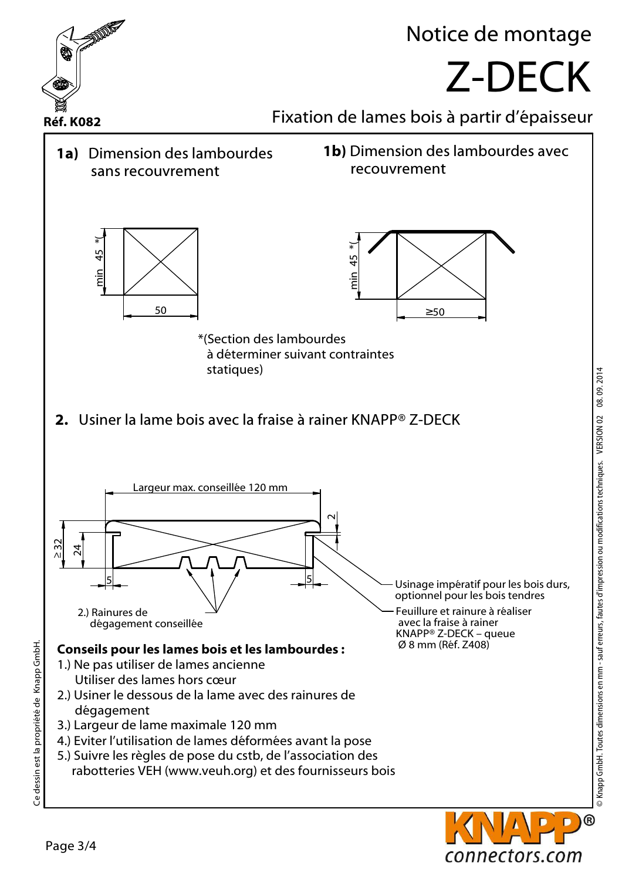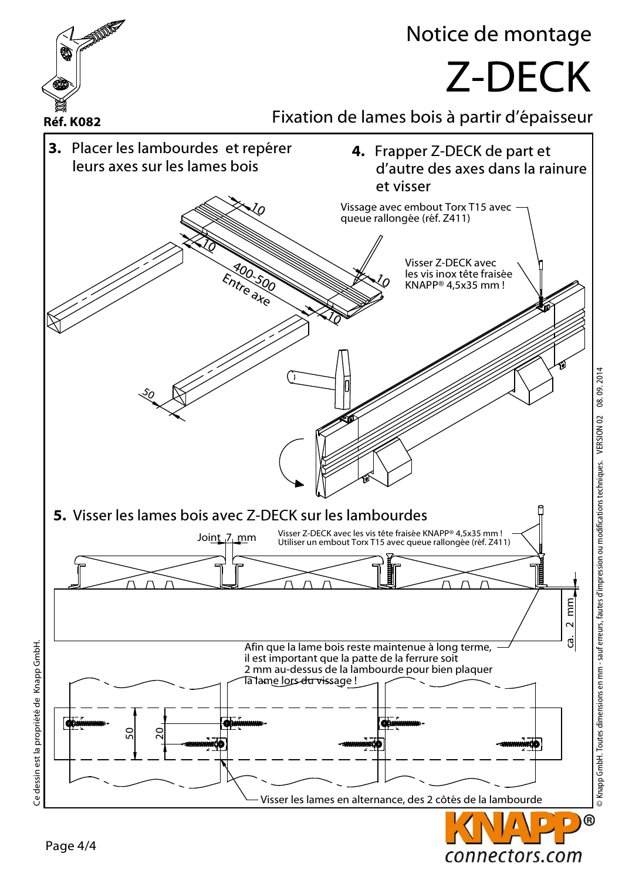

© Knapp GmbH. Toutes dimensions en mm - sauf erreurs, fautes d'impression ou modifications techniques. VERSION 02 08.09.2014 © Knapp GmbH. Toutes dimensions en mm - sauf erreurs, fautes d'impression ou modifications techniques. VERSION 02 08. 09. 2014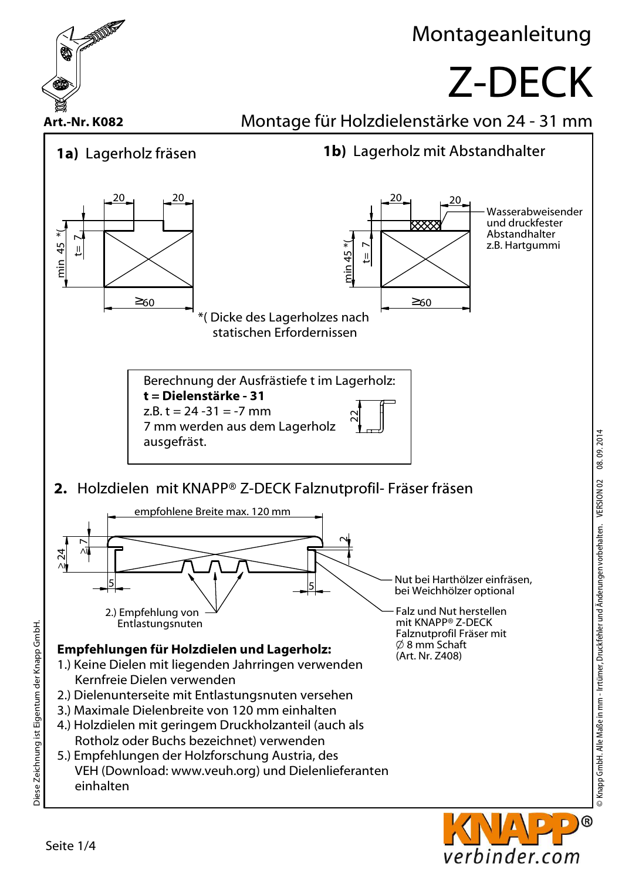

verbinder.com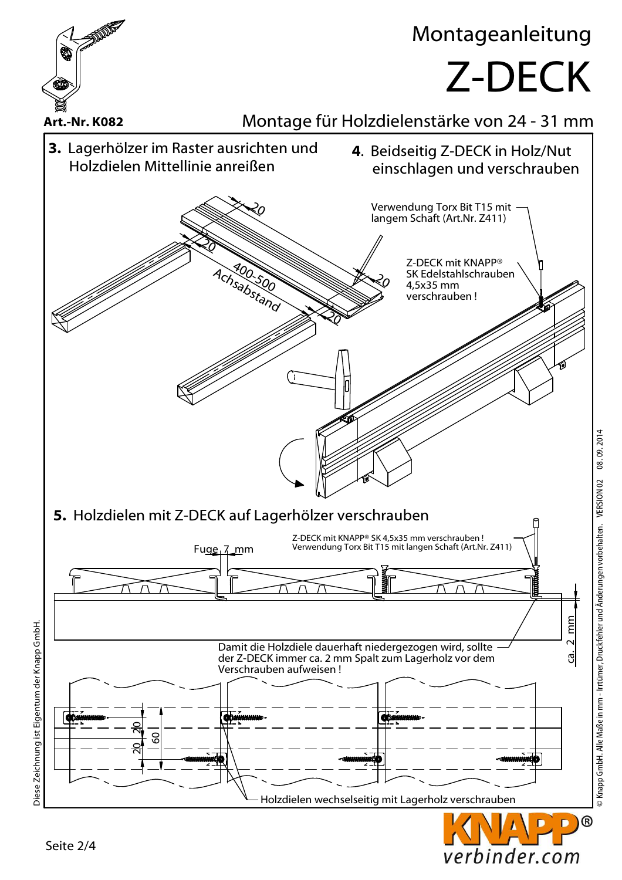

 $^{\circledR}$ D

verbinder.com

Seite 2/4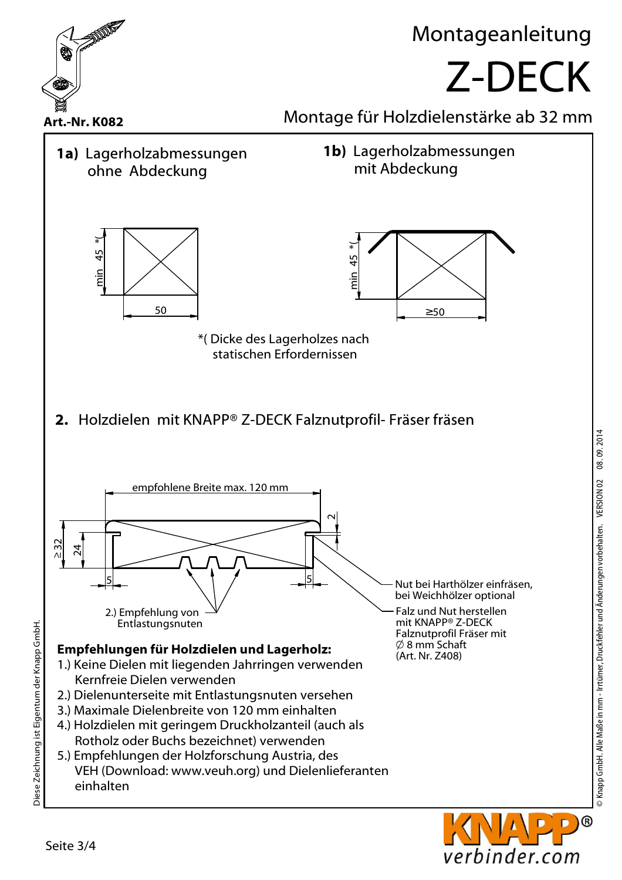

© Knapp GmbH. Alle Maße in mm - Irrtümer, Druckfehler und Änderungen vorbehalten. VERSION 02 08. 09. 2014 © Knapp GmbH. Alle Maße in mm - Irrtümer, Druckfehler und Änderungen vorbehalten. VERSION 02 08. 09. 2014

verbinder.com